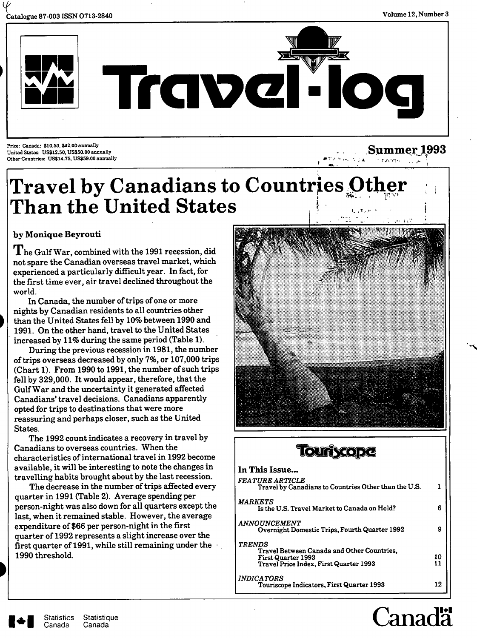

**Summer** 1993



**Price: Canada: \$10.50, \$42.00 ansnally United States: trS\$12.50, US\$50.aO annually Other Countries: US\$14.75, US\$59.00 annually** 

# 1 **Travel by Canadians to Countries O Than the United States ,** *\* **i**

# **by Monique Beyrouti**

 $\bf{T}$  he Gulf War, combined with the 1991 recession, did not spare the Canadian overseas travel market, which experienced a particularly difficult year. In fact, for the first time ever, air travel declined throughout the world.

In Canada, the number of trips of one or more nights by Canadian residents to all countries other than the United States fell by 10% between 1990 and 1991. On the other hand, travel to the United States increased by 11% during the same period (Table 1).

During the previous recession in 1981, the number of trips overseas decreased by only 7%, or 107,000 trips (Chart 1). From 1990 to 1991, the number of such trips fell by 329,000. It would appear, therefore, that the Gulf War and the uncertainty it generated affected Canadians' travel decisions. Canadians apparently opted for trips to destinations that were more reassuring emd perhaps closer, such as the United States

The 1992 count indicates a recovery in travel by Canadians to overseas countries. When the characteristics of international travel in 1992 become available, it will be interesting to note the changes in travelling habits brought about by the last recession.

The decrease in the number of trips affected every quarter in 1991 (Table 2). Average spending per person-night was also down for all quarters except the last, when it remained stable. However, the average expenditure of \$66 per person-night in the first quarter of 1992 represents a slight increase over the first quarter of 1991, while still remaining under the  $\cdot$ 1990 threshold.





#### **In This Issue...**  *FEATURE ARTICLE*  **Travel by Canadians to Countries Other than the U.S. 1**  *MARKETS*  **Is the U.S. Travel Market to Canada on Hold? 6**  *ANNO UNCEMENT*  **Overnight Domestic Trips, Fourth Quarter 1992** 9 *TRENDS*  **Travel Between Canada and Other Countries, First Quarter 1993** 10<br>Travel Price Index, First Quarter 1993 11 **Travel Price Index, First Quarter 1993** *INDICATORS*  **Touriscope Indicators, First Quarter 1993 12**

# *C*anadä

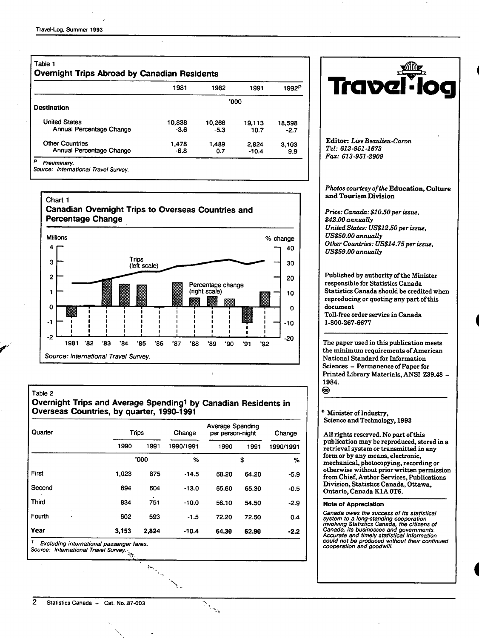|                          | 1981   | 1982   | 1991    | 1992 <sup>P</sup> |
|--------------------------|--------|--------|---------|-------------------|
| <b>Destination</b>       |        |        | '000    |                   |
| <b>United States</b>     | 10,838 | 10.266 | 19.113  | 18,598            |
| Annual Percentage Change | $-3.6$ | $-5.3$ | 10.7    | $-2.7$            |
| <b>Other Countries</b>   | 1.478  | 1.489  | 2.824   | 3.103             |
| Annual Percentage Change | -6.8   | 0.7    | $-10.4$ | 9.9               |





#### Table 2

#### **Overnight Trips and Average Spendingi by Canadian Residents In Overseas Countries, by quarter, 1990-1991**

ł

 $\frac{1}{\sqrt{2}}$ 

| Quarter |       | <b>Trips</b> |           | <b>Average Spending</b><br>per person-night |       | Change    |  |
|---------|-------|--------------|-----------|---------------------------------------------|-------|-----------|--|
|         | 1990  | 1991         | 1990/1991 | 1990                                        | 1991  | 1990/1991 |  |
|         |       | '000         | %         |                                             | \$    | %         |  |
| First   | 1,023 | 875          | $-14.5$   | 68.20                                       | 64.20 | $-5.9$    |  |
| Second  | 694   | 604          | $-13.0$   | 65.60                                       | 65.30 | $-0.5$    |  |
| Third   | 834   | 751          | $-10.0$   | 56.10                                       | 54.50 | $-2.9$    |  |
| Fourth  | 602   | 593          | $-1.5$    | 72.20                                       | 72.50 | 0.4       |  |
| Year    | 3.153 | 2.824        | $-10.4$   | 64.30                                       | 62.90 | $-2.2$    |  |

**l^a\?Gl-log Editor:** *LiseBeaulieu-Caron Tel: 613-951-1673 Fax: 613-951-2909 Photos courtesy of the* **Education, Culture and** Tourism Division *Price: Canada: \$10.50 per issue, \$42.00 annually UnitedStates: US\$12£0per issue, US\$50.00 annually Other Countries: US\$14.75 per issue, US\$59.00 annually*  Published by authority of the Minister responsible for Statistics Canada Statistics Camada should be credited when reproducing or quoting any part of this document Toll-free order service in Canada 1-800-267-6677 The paper used in this publication meets. the minimum requirements of American National Standard for Information Sciences - Permanence of Paper for Printed Library Materials, ANSI Z39.48

*\*'* Minister of Industry, Science and Technology, 1993

1984.

⊛

All rights reserved. No part of this publication may be reproduced, stored in a retrieval system or transmitted in any form or by any means, electronic, mechanical, photocopying, recording or otherwise without prior written permission from Chief, Author Services, Publications Division, Statistics Canada, Ottawa, Ontario, Canada K1A 0T6.

#### **Note of Appreciation**

**Canada owes the success of its statistical system to a long-standing cooperation involving Statistics Canada, the citizens of Canada, its businesses and governments. Accurate and timely statistical information could not be produced without their continued cooperation and goodwill.**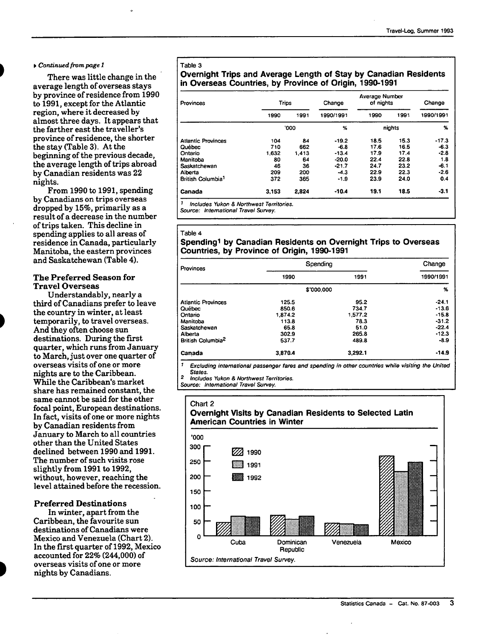#### **^** *Continued from page 1*

There was little change in the average length of overseas stays by province of residence from 1990 to 1991, except for the Atlantic region, where it decreased by almost three days. It appears that the farther east the traveller's province of residence, the shorter the stay (Table 3). At the beginning of the previous decade, the average length of trips abroad by Canadian residents was 22 nights.

From 1990 to 1991, spending by Canadians on trips overseas dropped by 15%, primarily as a result of a decrease in the number of trips taken. This decline in spending applies to all areas of residence in Canada, particularly Manitoba, the eastern provinces and Saskatchewan (Table 4).

#### **The Preferred Season for Travel Overseas**

Understandably, nearly a third of Canadians prefer to leave the country in winter, at least temporarily, to travel overseas. And they often choose sun destinations. During the first quarter, which runs from January to March, just over one quarter of overseas visits of one or more nights are to the Caribbean. While the Caribbean's market share has remained constant, the same cannot be said for the other focal point, European destinations. In fact, visits of one or more nights by Canadian residents from January to March to all countries other than the United States declined between 1990 and 1991. The number of such visits rose slightly from 1991 to 1992, without, however, reaching the level attained before the recession.

#### **Preferred Destinations**

In winter, apart from the Caribbean, the favourite sun destinations of Canadians were Mexico and Venezuela (Chart 2). In the first quarter of 1992, Mexico accounted for 22% (244,000) of overseas visits of one or more nights by Canadians.

#### Table 3

#### **Overnight Trips and Average Length of Stay by Canadian Residents in Overseas Countries, by Province of Origin, 1990-1991**

| Provinces                     | <b>Trips</b> |             | Change    | Average Number<br>of nights |        | Change    |  |
|-------------------------------|--------------|-------------|-----------|-----------------------------|--------|-----------|--|
|                               | 1990         | 1991        | 1990/1991 | 1990                        | 1991   | 1990/1991 |  |
|                               |              | <b>'000</b> | %         |                             | nights | %         |  |
| <b>Atlantic Provinces</b>     | 104          | 84          | $-19.2$   | 18.5                        | 15.3   | $-17.3$   |  |
| Québec                        | 710          | 662         | $-6.8$    | 17.6                        | 16.5   | $-6.3$    |  |
| Ontario                       | 1.632        | 1.413       | $-13.4$   | 17.9                        | 17.4   | $-2.8$    |  |
| Manitoba                      | 80           | 64          | $-20.0$   | 22.4                        | 22.8   | 1.8       |  |
| Saskatchewan                  | 46           | 36          | $-21.7$   | 24.7                        | 23.2   | $-6.1$    |  |
| Alberta                       | 209          | 200         | $-4.3$    | 22.9                        | 22.3   | $-2.6$    |  |
| British Columbia <sup>1</sup> | 372          | 365         | $-1.9$    | 23.9                        | 24.0   | 0.4       |  |
| Canada                        | 3.153        | 2.824       | $-10.4$   | 19.1                        | 18.5   | $-3.1$    |  |

' Includes Yukon & Northwest Territories.

Source: International Travel Survey.

#### Table 4 **Spendingi by Canadian Residents on Overnight Trips to Overseas Countries, by Province of Origin, 1990-1991**

| Provinces                     | Spending   | Change  |           |
|-------------------------------|------------|---------|-----------|
|                               | 1990       | 1991    | 1990/1991 |
|                               | \$'000.000 |         | %         |
| <b>Atlantic Provinces</b>     | 125.5      | 95.2    | $-24.1$   |
| Québec                        | 850.6      | 734.7   | $-13.6$   |
| Ontario                       | 1.874.2    | 1,577.2 | $-15.8$   |
| Manitoba                      | 113.8      | 78.3    | $-31.2$   |
| Saskatchewan                  | 65.8       | 51.0    | $-22.4$   |
| Alberta                       | 302.9      | 265.8   | $-12.3$   |
| British Columbia <sup>2</sup> | 537.7      | 489.8   | $-8.9$    |
| Canada                        | 3.870.4    | 3,292.1 | $-14.9$   |

Excluding international passenger fares and spending in other countries while visiting the United States.

2 Includes Yukon 8, Northwest Territories.

Source: International Travel Survey.

#### **Chart 2 Overnight Visits by Canadian Residents to Selected Latin American Countries in Winter**

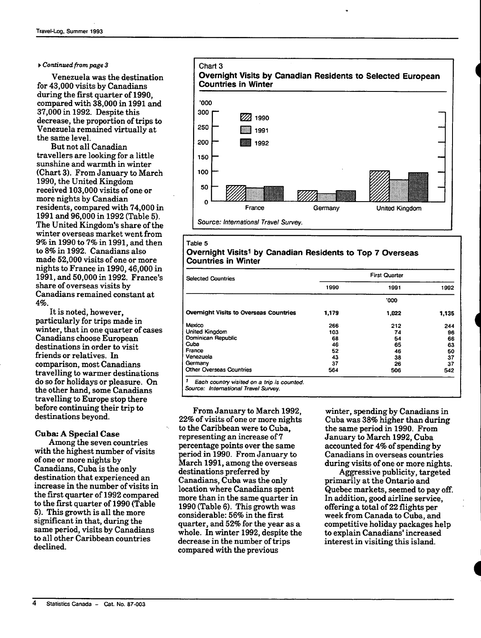#### **^** *Continued from page 3*

Venezuela was the destination for 43,000 visits by Canadians during the first quarter of 1990, compared *vnth* 38,000 in 1991 and 37,000 in 1992. Despite this decrease, the proportion of trips to Venezuela remained virtually at the same level.

But not all Canadian travellers are looking for a little sunshine and warmth in winter (Chart 3). From January to March 1990, the United Kingdom received 103,000 visits of one or more nights by Canadian residents, compared with 74,000 in 1991 and 96,000 in 1992 (Table 5). The United Kingdom's share of the winter overseas market went from 9% in 1990 to 7% in 1991, and then to 8% in 1992. Canadians also made 52,000 visits of one or more nights to France in 1990,46,000 in 1991, and 50,000 in 1992. France's share of overseas visits by Canadians remained constant at 4%.

It is noted, however, particularly for trips made in winter, that in one quarter of cases Canadians choose European destinations in order to visit friends or relatives. In comparison, most Canadians travelling to warmer destinations do so for holidays or pleasure. On the other hand, some Canadians travelling to Europe stop there before continuing their trip to destinations beyond.

#### **Cuba: A Special Case**

Among the seven countries with the highest number of visits of one or more nights by Canadians, Cuba is the only destination that experienced an increase in the number of visits in the first quarter of 1992 compared to the first quarter of 1990 (Table 5). This growth is all the more significant in that, during the same period, visits by Canadians to all other Caribbean countries declined.



#### Table 5 **Overnight Visits'! by Canadian Residents to Top 7 Overseas Countries in Winter**

| <b>Selected Countries</b>              | <b>First Quarter</b> |       |       |  |  |
|----------------------------------------|----------------------|-------|-------|--|--|
|                                        | 1990                 | 1991  | 1992  |  |  |
|                                        |                      | '000  |       |  |  |
| Overnight Visits to Overseas Countries | 1.179                | 1,022 | 1.135 |  |  |
| Mexico                                 | 266                  | 212   | 244   |  |  |
| United Kingdom                         | 103                  | 74    | 96    |  |  |
| Dominican Republic                     | 68                   | 54    | 66    |  |  |
| Cuba                                   | 46                   | 65    | 63    |  |  |
| France                                 | 52                   | 46    | 50    |  |  |
| Venezuela                              | 43                   | 38    | 37    |  |  |
| Germany                                | 37                   | 26    | 37    |  |  |
| <b>Other Overseas Countries</b>        | 564                  | 506   | 542   |  |  |

Source: International Travel Survey.

From January to March 1992, 22% of visits of one or more nights to the Caribbean were to Cuba, representing an increase of 7 percentage points over the same period in 1990. From January to March 1991, among the overseas destinations preferred by Canadians, Cuba was the only location where Canadians spent more than in the same quarter in 1990 (Table 6). This growth was considerable: 56% in the first quarter, and 52% for the year as a whole. In winter 1992, despite the decrease in the number of trips compared with the previous

winter, spending by Canadians in Cuba was 38% higher than during the same period in 1990. From January to March 1992, Cuba accoimted for 4% of spending by Canadians in overseas countries during visits of one or more nights. *i* 

*i* 

**I** 

Aggressive publicity, targeted primarily at the Ontario and Quebec markets, seemed to pay off. In addition, good airline service, offering a total of 22 flights per week from Canada to Cuba, and competitive holiday packages help to explain Canadians' increased interest in visiting this island.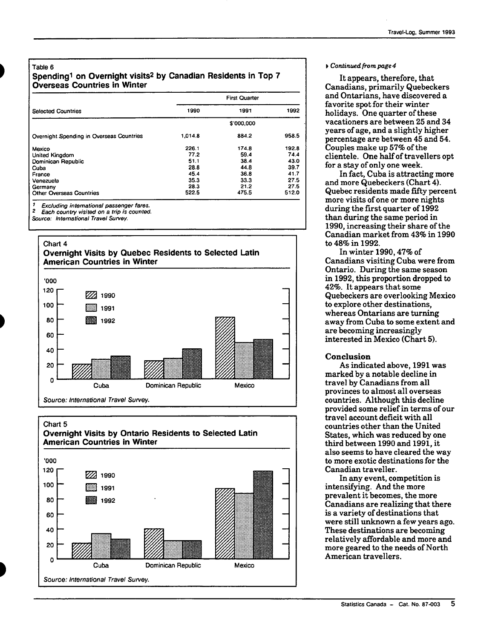#### Table 6

#### **Spendingi on Overnight visits^ by Canadian Residents in Top 7 Overseas Countries in Winter**

|                                          | <b>First Quarter</b> |       |       |  |  |
|------------------------------------------|----------------------|-------|-------|--|--|
| <b>Selected Countries</b>                | 1990                 | 1991  | 1992  |  |  |
|                                          | \$'000,000           |       |       |  |  |
| Overnight Spending in Overseas Countries | 1.014.8              | 884.2 | 958.5 |  |  |
| Mexico                                   | 226.1                | 174.8 | 192.8 |  |  |
| <b>United Kingdom</b>                    | 77.2                 | 59.4  | 74.4  |  |  |
| Dominican Republic                       | 51.1                 | 38.4  | 43.0  |  |  |
| Cuba                                     | 28.8                 | 44.8  | 39.7  |  |  |
| France                                   | 45.4                 | 36.8  | 41.7  |  |  |
| Venezuela                                | 35.3                 | 33.3  | 27.5  |  |  |
| Germany                                  | 28.3                 | 21.2  | 27.5  |  |  |
| <b>Other Overseas Countries</b>          | 522.5                | 475.5 | 512.0 |  |  |

**' Excluding international passenger fares.** 

**2 Each country visited on a trip is counted.** 

**Source: International Travel Survey.** 







#### • *Continued from page 4*

It appears, therefore, that Canadians, primarily Quebeckers and Ontarians, have discovered a favorite spot for their winter holidays. One quarter of these vacationers are between 25 and 34 years of age, and a slightly higher percentage are between 45 and 54. Couples make up 57% of the clientele. One half of travellers opt for a stay of only one week.

In fact, Cuba is attracting more and more Quebeckers (Chart 4). Quebec residents made fifty percent more visits of one or more nights during the first quarter of 1992 than during the same period in 1990, increasing their share of the Canadian market from 43% in 1990 to 48% in 1992.

In winter 1990,47% of Canadians visiting Cuba were from Ontario. During the same season in 1992, this proportion dropped to 42%. It appears that some Quebeckers are overlooking Mexico to explore other destinations, whereas Ontarians are turning away from Cuba to some extent and are becoming increasingly interested in Mexico (Chart 5).

#### Conclusion

As indicated above, 1991 was marked by a notable decline in travel by Canadians from all provinces to almost all overseas countries. Although this decline provided some relief in terms of our travel account deficit with all countries other than the United States, which was reduced by one third between 1990 and 1991, it also seems to have cleared the way to more exotic destinations for the Canadian traveller.

In any event, competition is intensifying. And the more prevalent it becomes, the more Canadians are realizing that there is a variety of destinations that were still unknown a few years ago. These destinations are becoming relatively affordable and more and more geared to the needs of North American travellers.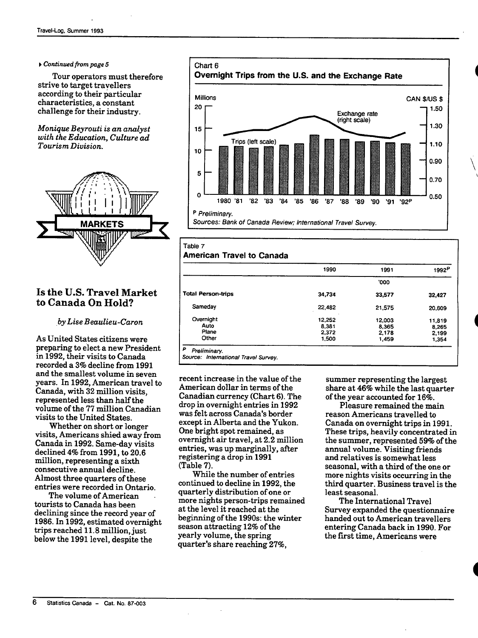#### • *Continued from page 5*

Tour operators must therefore strive to target travellers according to their particular characteristics, a constant challenge for their industry.

*Monique Beyrouti is an analyst with the Education, Culture ad Tourism Division.* 



# Is the U.S. Travel Market to Canada On Hold?

#### *by Lise Beaulieu-Caron*

As United States citizens were preparing to elect a new President in 1992, their visits to Canada recorded a 3% decline from 1991 and the smallest volume in seven years. In 1992, American travel to Canada, with 32 million visits. represented less than half the volume of the 77 million Canadian visits to the United States.

Whether on short or longer visits, Americans shied away from Canada in 1992. Same-day visits declined 4% from 1991, to 20.6 million, representing a sixth consecutive annual decline. Almost three quarters of these entries were recorded in Ontario.

The volume of American tourists to Canada has been declining since the record year of 1986. In 1992, estimated overnight trips reached 11.8 million, just below the 1991 level, despite the



#### Table 7

**American Travel to Canada** 

|                           | 1990   | 1991   | 1992P  |
|---------------------------|--------|--------|--------|
|                           |        | '000   |        |
| <b>Total Person-trips</b> | 34,734 | 33,577 | 32,427 |
| Sameday                   | 22,482 | 21.575 | 20,609 |
| Overnight                 | 12.252 | 12.003 | 11,819 |
| Auto                      | 8.381  | 8,365  | 8,265  |
| Plane                     | 2,372  | 2,178  | 2.199  |
| Other                     | 1,500  | 1,459  | 1,354  |

recent increase in the value of the American dollar in terms of the Canadian currency (Chart 6). The drop in overnight entries in 1992 was felt across Canada's border except in Alberta and the Yukon. One bright spot remained, as overnight air travel, at 2.2 million entries, was up marginally, after registering a drop in 1991 (Table 7).

While the number of entries continued to decline in 1992, the quarterly distribution of one or more nights person-trips remained at the level it reached at the beginning of the 1990s: the winter season attracting 12% of the yearly volume, the spring quarter's share reaching 27%,

summer representing the largest share at 46% while the last quarter of the year accounted for 16%.

Pleasure remained the main reason Americans travelled to Canada on overnight trips in 1991. These trips, heavily concentrated in the summer, represented 59% of the annual volume. Visiting friends and relatives is somewhat less seasonal, with a third of the one or more nights visits occurring in the third quarter. Business travel is the least seasonal.

The International Travel Survey expanded the questionnaire handed out to American travellers entering Canada back in 1990. For the first time, Americans were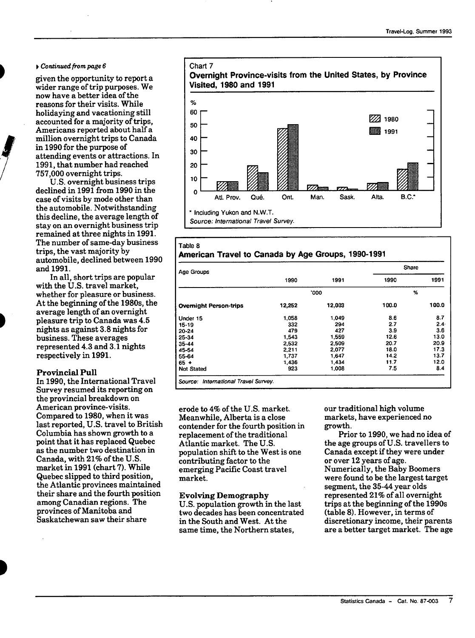#### *V Continued from page 6*

given the opportunity to report a wider range of trip purposes. We now have a better idea of the reasons for their visits. While holidaving and vacationing still accounted for a majority of trips, Americans reported about half a million overnight trips to Canada in 1990 for the purpose of attending events or attractions. In 1991, that number had reached 757,000 overnight trips.

U.S. overnight business trips declined in 1991 from 1990 in the case of visits by mode other than the automobile. Notwithstanding this decline, the average length of stay on an overnight business trip remained at three nights in 1991. The number of same-day business trips, the vast majority by automobile, declined between 1990 and 1991.

In all, short trips are popular with the U.S. travel market, whether for pleasure or business. At the beginning of the 1980s, the average length of an overnight pleasure trip to Canada was 4.5 nights as against 3.8 nights for business. These averages represented 4.3 and 3.1 nights respectively in **1991.** 

#### **Provincial Pull**

In 1990, the International Travel Survey resumed its reporting on the provincial breakdown on American province-visits. Compared to 1980, when it was last reported, U.S. travel to British Columbia has shown growth to a point that it has replaced Quebec as the number two destination in Canada, with 21% of the U.S. market in 1991 (chart 7). While Quebec slipped to third position, the Atlantic provinces maintained their share and the fourth position among Canadian regions. The provinces of Manitoba and Saskatehewan saw their share



#### Table 8 **American Travel to Canada by Age Groups, 1990-1991**

| <b>Age Groups</b>             |        |        | Share |       |
|-------------------------------|--------|--------|-------|-------|
|                               | 1990   | 1991   | 1990  | 1991  |
|                               |        | '000   |       | %     |
| <b>Overnight Person-trips</b> | 12,252 | 12,003 | 100.0 | 100.0 |
| Under 15                      | 1.058  | 1,049  | 8.6   | 8.7   |
| 15-19                         | 332    | 294    | 2.7   | 2.4·  |
| 20-24                         | 479    | 427    | 39    | 3.6   |
| 25-34                         | 1.543  | 1.559  | 12.6  | 13.0  |
| 35-44                         | 2,532  | 2,509  | 20.7  | 20.9  |
| 45-54                         | 2,211  | 2,077  | 18.0  | 17.3  |
| 55-64                         | 1,737  | 1.647  | 14.2  | 13.7  |
| $65 +$                        | 1,436  | 1.434  | 11.7  | 12.0  |
| <b>Not Stated</b>             | 923    | 1.008  | 7.5   | 8.4   |

Source: International Travel Survey.

erode to 4% of the U.S. market. Meanwhile, Alberta is a close contender for the fourth position in replacement of the traditional Atlantic market. The U.S. population shift to the West is one contributing factor to the emerging Pacific Coast travel market.

#### **Evolving Demography**

U.S. population growth in the last two decades has been concentrated in the South and West. At the same time, the Northern states.

our traditional high volume markets, have experienced no growth.

Prior to 1990, we had no idea of the age groups of U.S. travellers to Canada except if they were under or over 12 years of age. Numerically, the Baby Boomers were found to be the largest target segment, the 35-44 year olds represented 21% of all overnight trips at the beginning of the 1990s (table 8). However, in terms of discretionary income, their parents are a better target market. The age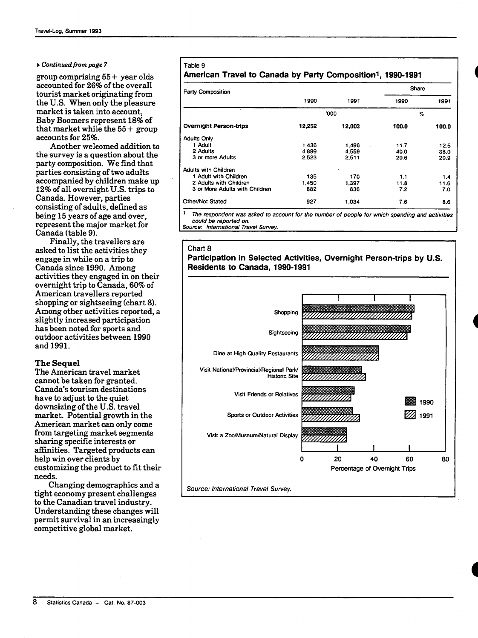#### **•** *Continued from page 7*

group comprising  $55 +$  year olds accounted for 26% of the overall tourist market originating from the U.S. When only the pleasure market is taken into account. Baby Boomers represent 18% of that market while the  $55 +$  group accounts for 25%.

Another welcomed addition to the survey is a question about the party composition. We find that parties consisting of two adults accompanied by children make up 12% of all overnight U.S. trips to Canada. However, parties consisting of adults, defined as being 15 years of age and over, represent the major market for Canada (table 9).

Finally, the travellers are asked to list the activities they engage in while on a trip to Canada since 1990. Among activities they engaged in on their overnight trip to Canada, 60% of American travellers reported shopping or sightseeing (chart 8). Among other activities reported, a slightly increased participation has been noted for sports and outdoor activities between 1990 and **1991.** 

#### **The Sequel**

The American travel market cannot be taken for granted. Canada's tourism destinations have to adjust to the quiet downsizing of the U.S. travel market. Potential growth in the American market can only come from targeting market segments sharing specific interests or afEinities. Targeted products can help win over clients by customizing the product to fit their needs.

Changing demographics and a tight economy present challenges to the Canadian travel industry. Understanding these changes will permit survival in an increasingly competitive global market.

#### Table 9 **American Travel to Canada by Party Composition^, 1990-1991**

| Party Composition              |        |        | Share |       |
|--------------------------------|--------|--------|-------|-------|
|                                | 1990   | 1991   | 1990  | 1991  |
|                                |        | '000   |       | %     |
| <b>Overnight Person-trips</b>  | 12.252 | 12,003 | 100.0 | 100.0 |
| <b>Adults Only</b>             |        |        |       |       |
| 1 Adult                        | 1,436  | 1.496  | 11.7  | 12.5  |
| 2 Adults                       | 4,899  | 4.559  | 40.0  | 38.0  |
| 3 or more Adults               | 2.523  | 2.511  | 20.6  | 20.9  |
| <b>Adults with Children</b>    |        |        |       |       |
| 1 Adult with Children          | 135    | 170    | 1.1   | 1.4   |
| 2 Adults with Children         | 1.450  | 1.397  | 11.8  | 11.6  |
| 3 or More Adults with Children | 882    | 836    | 7.2   | 7.0   |
| <b>Other/Not Stated</b>        | 927    | 1.034  | 7.6   | 8.6   |

**' Ttie respondent was asked to account for the number of people for which spending and activities could be reported on.** 

**Source: International Travel Survey.** 

#### Chart 8 **Participation in Selected Activities, Overnight Person-trips by U.S. Residents to Canada, 1990-1991**



*i* 

*i*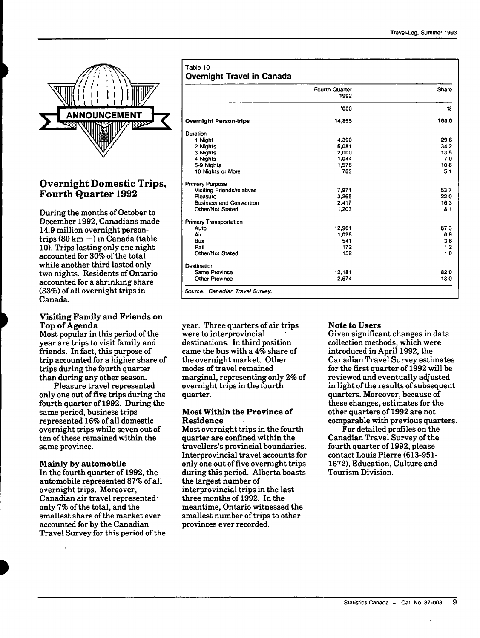

# Overnight Domestic Trips, Fourth Quarter 1992

During the months of October to December 1992, Canadians made 14.9 million overnight persontrips (80 km +) in Canada (table 10). Trips lasting only one night accounted for 30% of the total while another third lasted only two nights. Residents of Ontario accounted for a shrinking share (33%) of all overnight trips in Canada.

#### **Visiting Family and Friends on Top of Agenda**

Most popular in this period of the year are trips to visit family and friends. In fact, this purpose of trip accounted for a higher share of trips during the fourth quarter than during any other season.

Pleasure travel represented only one out of five trips during the fourth quarter of 1992. During the same period, business trips represented 16% of all domestic overnight trips while seven out of ten of these remained within the same province.

#### **Mainly by automobile**

**In** the fourth quarter of 1992, the automobile represented 87% of all overnight trips. Moreover, Canadian air travel represented<sup>-</sup> only 7% of the total, and the smallest share of the market ever accounted for by the Canadian Travel Survey for this period of the

| Table 10                          |  |  |
|-----------------------------------|--|--|
| <b>Overnight Travel in Canada</b> |  |  |

| <b>Fourth Quarter</b><br>1992 |        |       |  |
|-------------------------------|--------|-------|--|
|                               | '000   | %     |  |
|                               | 14,855 | 100.0 |  |
|                               |        |       |  |
|                               | 4.390  | 29.6  |  |
|                               | 5.081  | 34.2  |  |
|                               | 2.000  | 13.5  |  |
|                               | 1,044  | 7.0   |  |
|                               | 1.576  | 10.6  |  |
|                               | 763    | 5.1   |  |
|                               |        |       |  |
|                               | 7.971  | 53.7  |  |
|                               | 3,265  | 22.0  |  |
|                               | 2.417  | 16.3  |  |
|                               | 1.203  | 8.1   |  |
|                               |        |       |  |
|                               | 12,961 | 87.3  |  |
|                               | 1,028  | 6.9   |  |
|                               | 541    | 3.6   |  |
|                               | 172    | 1.2   |  |
|                               | 152    | 1.0   |  |
|                               |        |       |  |
|                               | 12,181 | 82.0  |  |
|                               | 2,674  | 18.0  |  |

year. Three quarters of air trips were to interprovincial destinations. In third position came the bus with a 4% share of the overnight market. Other modes of travel remained marginal, representing only 2% of overnight trips in the fourth quarter.

#### **Most Within the Province of Residence**

Most overnight trips in the fourth quarter are confined within the travellers's provincial boundaries. Interprovincial travel accounts for only one out of five overnight trips during this period. Alberta boasts the largest number of interprovincial trips in the last three months of 1992. In the meantime, Ontario witnessed the smallest number of trips to other provinces ever recorded.

#### **Note to Users**

Given significant changes in data collection methods, which were introduced in April 1992, the Canadian Travel Survey estimates for the first quarter of 1992 will be reviewed and eventually adjusted in light of the results of subsequent quarters. Moreover, because of these changes, estimates for the other quarters of 1992 are not comparable with previous quarters.

For detailed profiles on the Canadian Travel Survey of the fourth quarter of 1992, please contact Louis Pierre (613-951- 1672), Education, Culture and Tourism Division.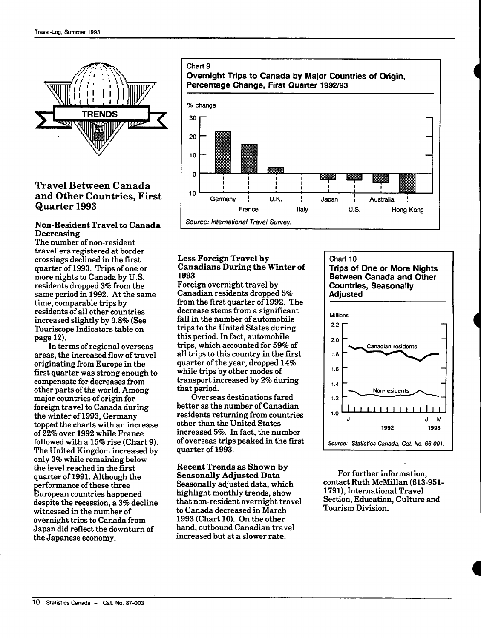

# Travel Between Canada and Other Countries, First Quarter 1993

#### **Non-Resident Travel to Canada Decreasing**

The number of non-resident travellers registered at border crossings declined in the first quarter of 1993. Trips of one or more nights to Canada by U.S. residents dropped 3% from the same period in 1992. At the same time, comparable trips by residents of all other countries increased slightly by 0.8% (See Touriscope Indicators table on page 12).

In terms of regional overseas areas, the increased flow of travel originating from Europe in the first quarter was strong enough to compensate for decreases from other parts of the world. Among major countries of origin for foreign travel to Canada during the winter of 1993, Germany topped the charts with an increase of 22% over 1992 while France followed with a  $15\%$  rise (Chart 9). The United Kingdom increased by only 3% while remaining below the level reached in the first quarter of 1991. Although the performance of these three European countries happened despite the recession, a 3% decline witnessed in the number of overnight trips to Canada from Japan did reflect the dowmturn of the Japanese economy.



#### Less **Foreign Travel by Canadians During the Winter of 1993**

Foreign overnight travel by Canadian residents dropped 5% from the first quarter of 1992. The decrease stems from a significant fall in the number of automobile trips to the United States during this period. In fact, automobile trips, which accounted for 59% of all trips to this country in the first quarter of the year, dropped 14% while trips by other modes of transport increased by 2% during that period.

(Overseas destinations fared better as the number of Canadian residents returning from countries other than the United States increased 5%. In fact, the number of overseas trips peaked in the first quarter of 1993.

#### **Recent Trends as Shown by Seasonally Adjusted Data**

Seasonally adjusted data, which highlight monthly trends, show that non-resident overnight travel to Canada decreased in March 1993 (Chart 10). On the other hand, outbound Canadian travel increased but at a slower rate.

#### Chart 10 **Trips of One or More Nights Between Canada and Other Countries, Seasonally Adjusted**



For further information, contact Ruth McMillan (613-951-1791), International Travel Section, Education, Culture and Tourism Division.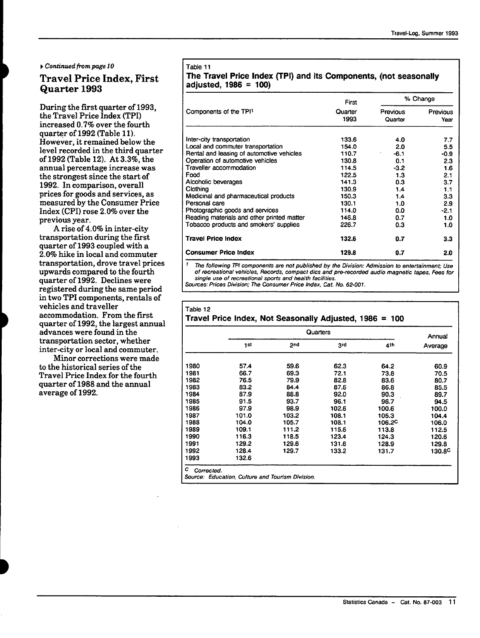*f Continued from page 10* 

# **Travel Price Index, First Quarter 1993**

During the first quarter of 1993, the Travel Price Index (TPI) increased 0.7% over the fourth quarter of 1992 (Table 11). However, it remained below the level recorded in the third quarter of 1992 (Table 12). At 3.3%, the annual percentage increase was the strongest since the start of 1992. In comparison, overall prices for goods and services, as measured by the Consumer Price Index (CPI) rose 2.0% over the previous year.

A rise of 4.0% in inter-city transportation during the first quarter of 1993 coupled with a 2.0% hike in local and commuter transportation, drove travel prices upwards compared to the fourth quarter of 1992. Declines were registered during the same period in two TPI components, rentals of vehicles and traveller accommodation. From the first quarter of 1992, the largest annual advances were found in the transportation sector, whether inter-city or local and commuter.

Minor corrections were made to the historical series of the Travel Price Index for the fourth quarter of 1988 and the annual average of 1992.

#### Table 11

### **The Travel Price index (TPI) and its Components, (not seasonally adjusted, 1986 = 100)**

|                                            | First           | % Change            |                  |
|--------------------------------------------|-----------------|---------------------|------------------|
| Components of the TPI1                     | Quarter<br>1993 | Previous<br>Quarter | Previous<br>Year |
| Inter-city transportation                  | 133.6           | 4.0                 | 7.7              |
| Local and commuter transportation          | 154.0           | 2.0                 | 5.5              |
| Rental and leasing of automotive vehicles  | 110.7           | $-6.1$              | $-0.9$           |
| Operation of automotive vehicles           | 130.8           | 0.1                 | 2.3              |
| Travelier accommodation                    | 114.5           | $-3.2$              | 1.6              |
| Food                                       | 122.5           | 1.3                 | 2.1              |
| Alcoholic beverages                        | 141.3           | 0.3                 | 3.7              |
| Clothing                                   | 130.9           | 1.4                 | 1.1              |
| Medicinal and pharmaceutical products      | 150.3           | 1.4                 | 3.3              |
| Personal care                              | 130.1           | 1.0                 | 2.9              |
| Photographic goods and services            | 114.0           | 0.0                 | $-2.1$           |
| Reading materials and other printed matter | 146.8           | 0.7                 | 1.0              |
| Tobacco products and smokers' supplies     | 226.7           | 0.3                 | 1.0              |
| <b>Travel Price Index</b>                  | 132.6           | 0.7                 | 3.3              |
| <b>Consumer Price Index</b>                | 129.8           | 0.7                 | 2.0              |

' The following TPI components are not published by the Division: Admission to entertainment; Use of recreational vehicles. Records, compact dies and pre-recorded audio magnetic tapes. Fees for single use of recreational sports and health facilities.

Sources: Prices Division; The Consumer Price Index, Cat. Wo. 62-007.

#### Table 12 **Travel Price Index, Not Seasonally Adjusted, 1986 = 100**

|      |       | Annual |       |                    |                    |
|------|-------|--------|-------|--------------------|--------------------|
|      | 1st   | 2nd    | 3rd   | 4th                | Average            |
| 1980 | 57.4  | 59.6   | 62.3  | 64.2               | 60.9               |
| 1981 | 66.7  | 69.3   | 72.1  | 73.8               | 70.5               |
| 1982 | 76.5  | 79.9   | 82.8  | 83.6               | 80.7               |
| 1983 | 83.2  | 84.4   | 87.6  | 86.8               | 85.5               |
| 1984 | 87.9  | 88.8   | 92.0  | 90.3               | 89.7               |
| 1985 | 91.5  | 93.7   | 96.1  | 96.7               | 94.5               |
| 1986 | 97.9  | 98.9   | 102.6 | 100.6              | 100.0              |
| 1987 | 101.0 | 103.2  | 108.1 | 105.3              | 104.4              |
| 1988 | 104.0 | 105.7  | 108.1 | 106.2 <sup>C</sup> | 106.0              |
| 1989 | 109.1 | 111.2  | 115.6 | 113.8              | 112.5              |
| 1990 | 116.3 | 118.5  | 123.4 | 124.3              | 120.6              |
| 1991 | 129.2 | 129.6  | 131.6 | 128.9              | 129.8              |
| 1992 | 128.4 | 129.7  | 133.2 | 131.7              | 130.8 <sup>C</sup> |
| 1993 | 132.6 |        |       |                    |                    |